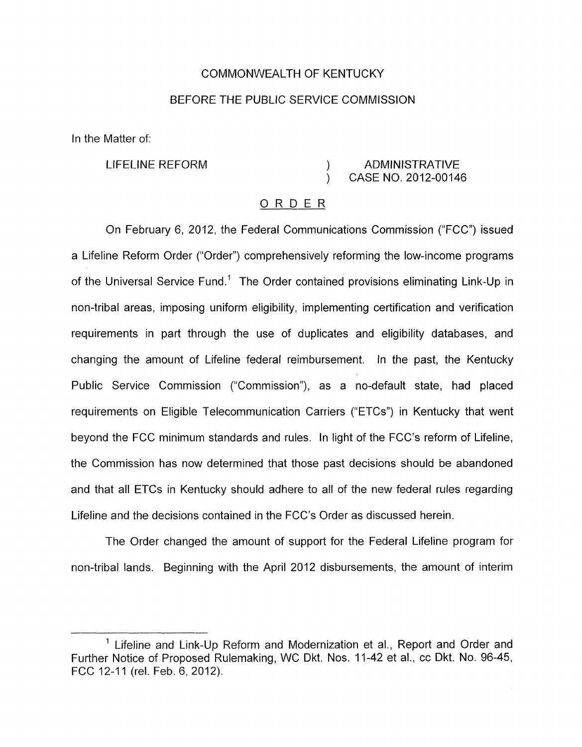### COMMONWEALTH OF KENTUCKY

# BEFORE THE PUBLIC SERVICE COMMISSION

In the Matter of:

# LIFELINE REFORM (ADMINISTRATIVE) ) CASE NO. 2012-00146

# ORDER

On February 6, 2012, the Federal Communications Commission ("FCC") issued a Lifeline Reform Order ("Order") comprehensively reforming the low-income programs of the Universal Service Fund.' The Order contained provisions eliminating Link-Up in non-tribal areas, imposing uniform eligibility, implementing certification and verification requirements in part through the use of duplicates and eligibility databases, and changing the amount of Lifeline federal reimbursement. In the past, the Kentucky Public Service Commission ("Commission"), as a no-default state, had placed requirements on Eligible Telecommunication Carriers ("ETCs") in Kentucky that went beyond the FCC minimum standards and rules. In light of the FCC's reform of Lifeline, the Commission has now determined that those past decisions should be abandoned and that all ETCs in Kentucky should adhere to all of the new federal rules regarding Lifeline and the decisions contained in the FCC's Order as discussed herein.

The Order changed the amount of support for the Federal Lifeline program for non-tribal lands. Beginning with the April 2012 disbursements, the amount of interim

<sup>&</sup>lt;sup>1</sup> Lifeline and Link-Up Reform and Modernization et al., Report and Order and Further Notice of Proposed Rulemaking, WC Dkt. Nos. 11-42 et al., cc Dkt. No. 96-45, FCC 12-11 (rel. Feb. 6, 2012).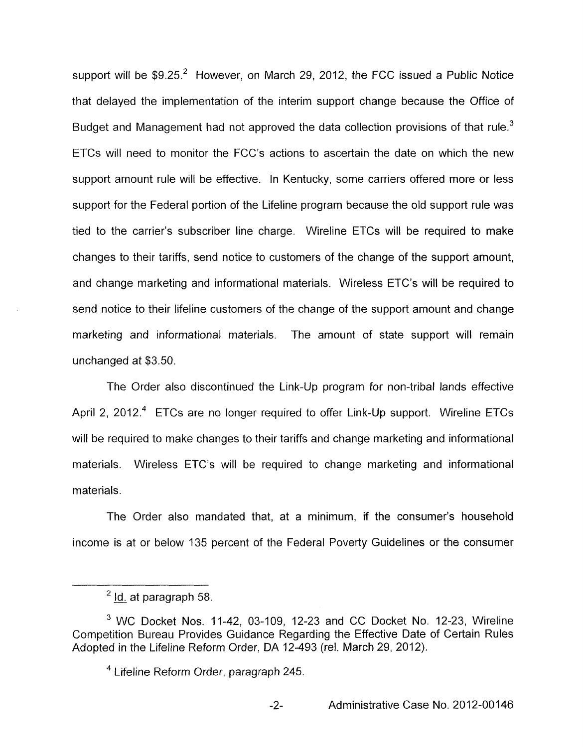support will be  $$9.25.<sup>2</sup>$  However, on March 29, 2012, the FCC issued a Public Notice that delayed the implementation of the interim support change because the Office of Budget and Management had not approved the data collection provisions of that rule.<sup>3</sup> ETCs will need to monitor the FCC's actions to ascertain the date on which the new support amount rule will be effective. In Kentucky, some carriers offered more or less support for the Federal portion of the Lifeline program because the old support rule was tied to the carrier's subscriber line charge. Wireline ETCs will be required to make changes to their tariffs, send notice to customers of the change of the support amount, and change marketing and informational materials. Wireless ETC's will be required to send notice to their lifeline customers of the change of the support amount and change marketing and informational materials. The amount of state support will remain unchanged at \$3.50.

The Order also discontinued the Link-Up program for non-tribal lands effective April 2, 2012.<sup>4</sup> ETCs are no longer required to offer Link-Up support. Wireline ETCs will be required to make changes to their tariffs and change marketing and informational materials. Wireless ETC's will be required to change marketing and informational materials.

The Order also mandated that, at a minimum, if the consumer's household income is at or below 135 percent of the Federal Poverty Guidelines or the consumer

 $2$  Id. at paragraph 58.

WC Docket Nos. 11-42, 03-109, 12-23 and CC Docket No. 12-23, Wireline Competition Bureau Provides Guidance Regarding the Effective Date of Certain Rules Adopted in the Lifeline Reform Order, DA 12-493 (rel. March 29, 2012).

Lifeline Reform Order, paragraph 245.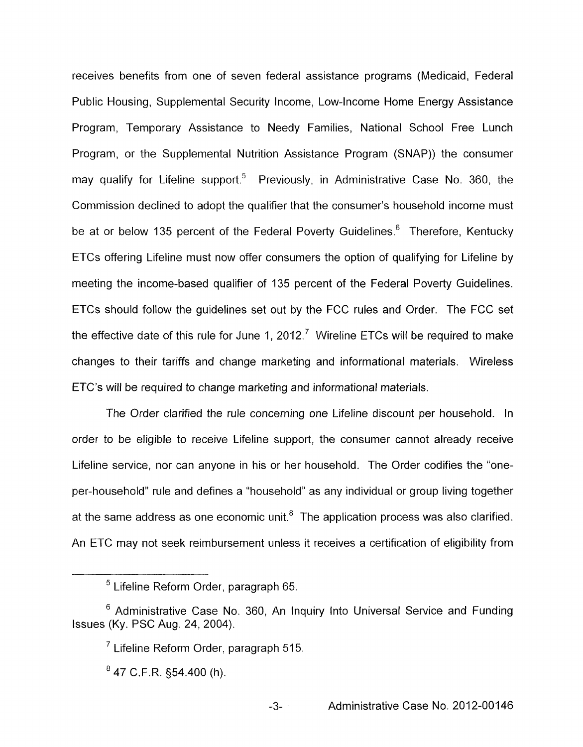receives benefits from one of seven federal assistance programs (Medicaid, Federal Public Housing, Supplemental Security Income, Low-Income Home Energy Assistance Program, Temporary Assistance to Needy Families, National School Free Lunch Program, or the Supplemental Nutrition Assistance Program (SNAP)) the consumer may qualify for Lifeline support.<sup>5</sup> Previously, in Administrative Case No. 360, the Commission declined to adopt the qualifier that the consumer's household income must be at or below 135 percent of the Federal Poverty Guidelines.<sup>6</sup> Therefore, Kentucky ETCs offering Lifeline must now offer consumers the option of qualifying for Lifeline by meeting the income-based qualifier of 135 percent of the Federal Poverty Guidelines. ETCs should follow the guidelines set out by the FCC rules and Order. The FCC set the effective date of this rule for June 1, 2012.<sup>7</sup> Wireline ETCs will be required to make changes to their tariffs and change marketing and informational materials. Wireless ETC's will be required to change marketing and informational materials.

The Order clarified the rule concerning one Lifeline discount per household. In order to be eligible to receive Lifeline support, the consumer cannot already receive Lifeline service, nor can anyone in his or her household. The Order codifies the "oneper-household" rule and defines a "household" as any individual or group living together at the same address as one economic unit. $8$  The application process was also clarified. An ETC may not seek reimbursement unless it receives a certification of eligibility from

Lifeline Reform Order, paragraph 65.

 $6$  Administrative Case No. 360, An Inquiry Into Universal Service and Funding Issues (Ky. PSC Aug. 24,2004).

 $7$  Lifeline Reform Order, paragraph 515.

 $847$  C.F.R.  $$54.400$  (h).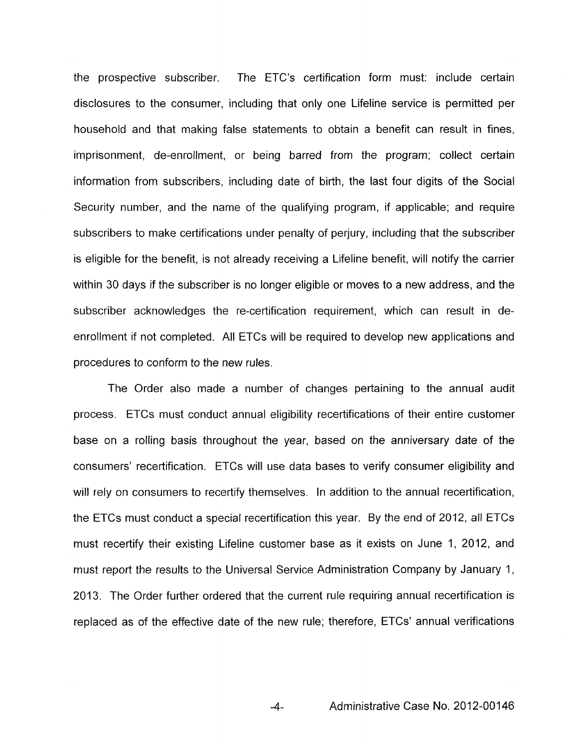the prospective subscriber. The ETC's certification form must: include certain disclosures to the consumer, including that only one Lifeline service is permitted per household and that making false statements to obtain a benefit can result in fines, imprisonment, de-enrollment, or being barred from the program; collect certain information from subscribers, including date of birth, the last four digits of the Social Security number, and the name of the qualifying program, if applicable; and require subscribers to make certifications under penalty of perjury, including that the subscriber is eligible for the benefit, is not already receiving a Lifeline benefit, will notify the carrier within 30 days if the subscriber is no longer eligible or moves to a new address, and the subscriber acknowledges the re-certification requirement, which can result in deenrollment if not completed. All ETCs will be required to develop new applications and procedures to conform to the new rules.

The Order also made a number of changes pertaining to the annual audit process. ETCs must conduct annual eligibility recertifications of their entire customer base on a rolling basis throughout the year, based on the anniversary date of the consumers' recertification. ETCs will use data bases to verify consumer eligibility and will rely on consumers to recertify themselves. In addition to the annual recertification, the ETCs must conduct a special recertification this year. By the end of 2012, all ETCs must recertify their existing Lifeline customer base as it exists on June 1, 2012, and must report the results to the Universal Service Administration Company by January 1, 2013. The Order further ordered that the current rule requiring annual recertification is replaced as of the effective date of the new rule; therefore, ETCs' annual verifications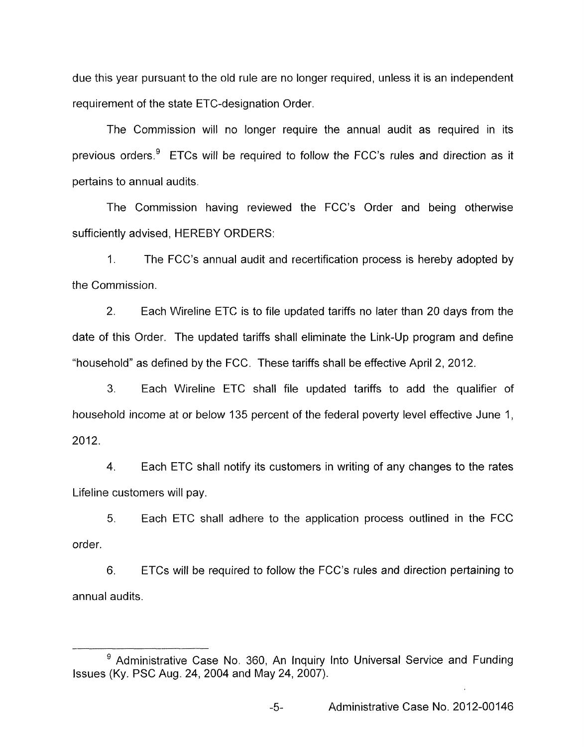due this year pursuant to the old rule are no longer required, unless it is an independent requirement of the state ETC-designation Order.

The Commission will no longer require the annual audit as required in its previous orders. $9$  ETCs will be required to follow the FCC's rules and direction as it pertains to annual audits.

The Commission having reviewed the FCC's Order and being otherwise sufficiently advised, HEREBY ORDERS:

1. the Commission. The FCC's annual audit and recertification process is hereby adopted by

2. Each Wireline ETC is to file updated tariffs no later than 20 days from the date of this Order. The updated tariffs shall eliminate the Link-Up program and define "household" as defined by the FCC. These tariffs shall be effective April 2, 2012.

3. Each Wireline ETC shall file updated tariffs to add the qualifier of household income at or below 135 percent of the federal poverty level effective June I, 2012.

4. Each ETC shall notify its customers in writing of any changes to the rates Lifeline customers will pay.

*5.* Each ETC shall adhere to the application process outlined in the FCC order.

6. annual audits. ETCs will be required to follow the FCC's rules and direction pertaining to

 $9$  Administrative Case No. 360, An Inquiry Into Universal Service and Funding Issues (Ky. PSC Aug. 24,2004 and May 24,2007).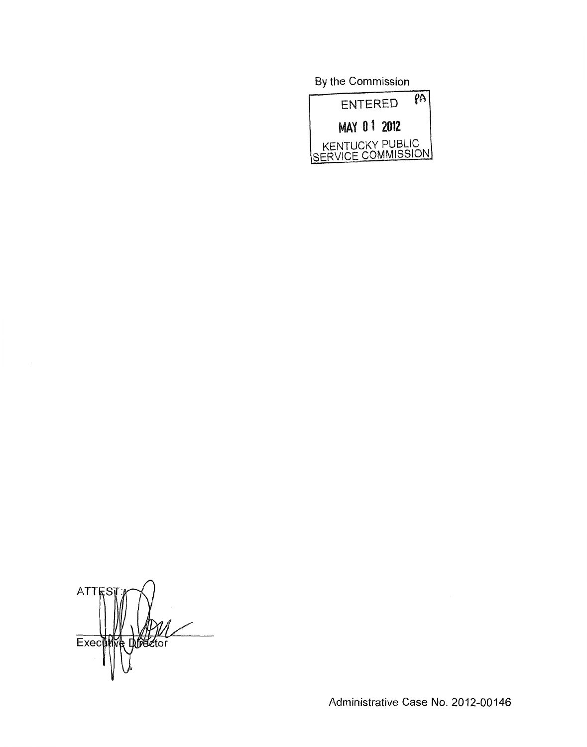**By** the Commission



ATTES Breetor Executiv

Administrative Case No. 2012-00146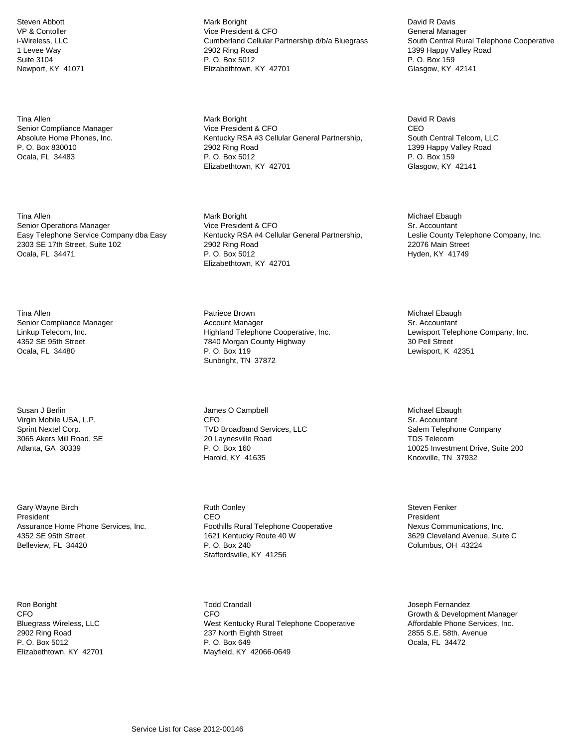Steven Abbott VP & Contoller i-Wireless, LLC 1 Levee Way Suite 3104 Newport, KY 41071

Tina Allen Senior Compliance Manager Absolute Home Phones, Inc. P. O. Box 830010 Ocala, FL 34483

Tina Allen Senior Operations Manager Easy Telephone Service Company dba Easy 2303 SE 17th Street, Suite 102 Ocala, FL 34471

Tina Allen Senior Compliance Manager Linkup Telecom, Inc. 4352 SE 95th Street Ocala, FL 34480

Susan J Berlin Virgin Mobile USA, L.P. Sprint Nextel Corp. 3065 Akers Mill Road, SE Atlanta, GA 30339

Gary Wayne Birch President Assurance Home Phone Services, Inc. 4352 SE 95th Street Belleview, FL 34420

Ron Boright CFO Bluegrass Wireless, LLC 2902 Ring Road P. O. Box 5012 Elizabethtown, KY 42701 Mark Boright Vice President & CFO Cumberland Cellular Partnership d/b/a Bluegrass 2902 Ring Road P. O. Box 5012 Elizabethtown, KY 42701

Mark Boright Vice President & CFO Kentucky RSA #3 Cellular General Partnership, 2902 Ring Road P. O. Box 5012 Elizabethtown, KY 42701

Mark Boright Vice President & CFO Kentucky RSA #4 Cellular General Partnership, 2902 Ring Road P. O. Box 5012 Elizabethtown, KY 42701

Patriece Brown Account Manager Highland Telephone Cooperative, Inc. 7840 Morgan County Highway P. O. Box 119 Sunbright, TN 37872

James O Campbell CFO TVD Broadband Services, LLC 20 Laynesville Road P. O. Box 160 Harold, KY 41635

Ruth Conley CEO Foothills Rural Telephone Cooperative 1621 Kentucky Route 40 W P. O. Box 240 Staffordsville, KY 41256

Todd Crandall CFO West Kentucky Rural Telephone Cooperative 237 North Eighth Street P. O. Box 649 Mayfield, KY 42066-0649

David R Davis General Manager South Central Rural Telephone Cooperative 1399 Happy Valley Road P. O. Box 159 Glasgow, KY 42141

David R Davis CEO South Central Telcom, LLC 1399 Happy Valley Road P. O. Box 159 Glasgow, KY 42141

Michael Ebaugh Sr. Accountant Leslie County Telephone Company, Inc. 22076 Main Street Hyden, KY 41749

Michael Ebaugh Sr. Accountant Lewisport Telephone Company, Inc. 30 Pell Street Lewisport, K 42351

Michael Ebaugh Sr. Accountant Salem Telephone Company TDS Telecom 10025 Investment Drive, Suite 200 Knoxville, TN 37932

Steven Fenker President Nexus Communications, Inc. 3629 Cleveland Avenue, Suite C Columbus, OH 43224

Joseph Fernandez Growth & Development Manager Affordable Phone Services, Inc. 2855 S.E. 58th. Avenue Ocala, FL 34472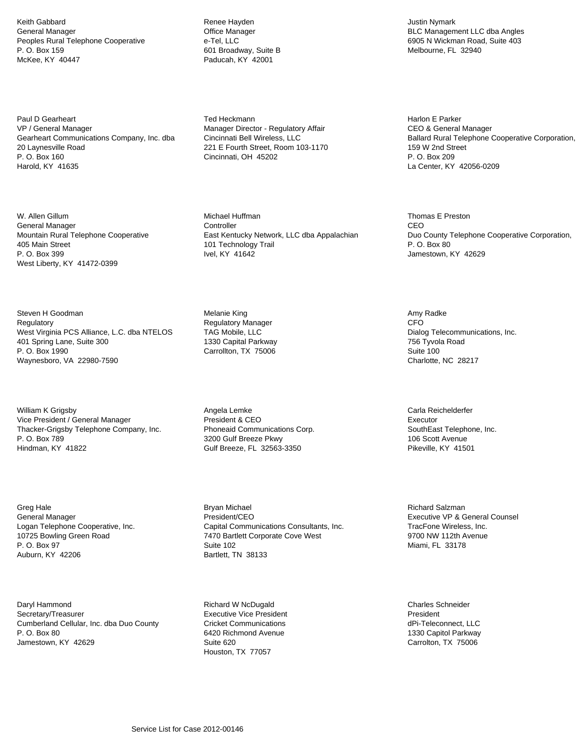Keith Gabbard General Manager Peoples Rural Telephone Cooperative P. O. Box 159 McKee, KY 40447

Paul D Gearheart VP / General Manager Gearheart Communications Company, Inc. dba 20 Laynesville Road P. O. Box 160 Harold, KY 41635

W. Allen Gillum General Manager Mountain Rural Telephone Cooperative 405 Main Street P. O. Box 399 West Liberty, KY 41472-0399

Steven H Goodman **Regulatory** West Virginia PCS Alliance, L.C. dba NTELOS 401 Spring Lane, Suite 300 P. O. Box 1990 Waynesboro, VA 22980-7590

William K Grigsby Vice President / General Manager Thacker-Grigsby Telephone Company, Inc. P. O. Box 789 Hindman, KY 41822

Greg Hale General Manager Logan Telephone Cooperative, Inc. 10725 Bowling Green Road P. O. Box 97 Auburn, KY 42206

Daryl Hammond Secretary/Treasurer Cumberland Cellular, Inc. dba Duo County P. O. Box 80 Jamestown, KY 42629

Renee Hayden Office Manager e-Tel, LLC 601 Broadway, Suite B Paducah, KY 42001

Ted Heckmann Manager Director - Regulatory Affair Cincinnati Bell Wireless, LLC 221 E Fourth Street, Room 103-1170 Cincinnati, OH 45202

Michael Huffman **Controller** East Kentucky Network, LLC dba Appalachian 101 Technology Trail Ivel, KY 41642

Melanie King Regulatory Manager TAG Mobile, LLC 1330 Capital Parkway Carrollton, TX 75006

Angela Lemke President & CEO Phoneaid Communications Corp. 3200 Gulf Breeze Pkwy Gulf Breeze, FL 32563-3350

Bryan Michael President/CEO Capital Communications Consultants, Inc. 7470 Bartlett Corporate Cove West Suite 102 Bartlett, TN 38133

Richard W NcDugald Executive Vice President Cricket Communications 6420 Richmond Avenue Suite 620 Houston, TX 77057

Justin Nymark BLC Management LLC dba Angles 6905 N Wickman Road, Suite 403 Melbourne, FL 32940

Harlon E Parker CEO & General Manager Ballard Rural Telephone Cooperative Corporation, 159 W 2nd Street P. O. Box 209 La Center, KY 42056-0209

Thomas E Preston CEO Duo County Telephone Cooperative Corporation, P. O. Box 80 Jamestown, KY 42629

Amy Radke **CFO** Dialog Telecommunications, Inc. 756 Tyvola Road Suite 100 Charlotte, NC 28217

Carla Reichelderfer Executor SouthEast Telephone, Inc. 106 Scott Avenue Pikeville, KY 41501

Richard Salzman Executive VP & General Counsel TracFone Wireless, Inc. 9700 NW 112th Avenue Miami, FL 33178

Charles Schneider President dPi-Teleconnect, LLC 1330 Capitol Parkway Carrolton, TX 75006